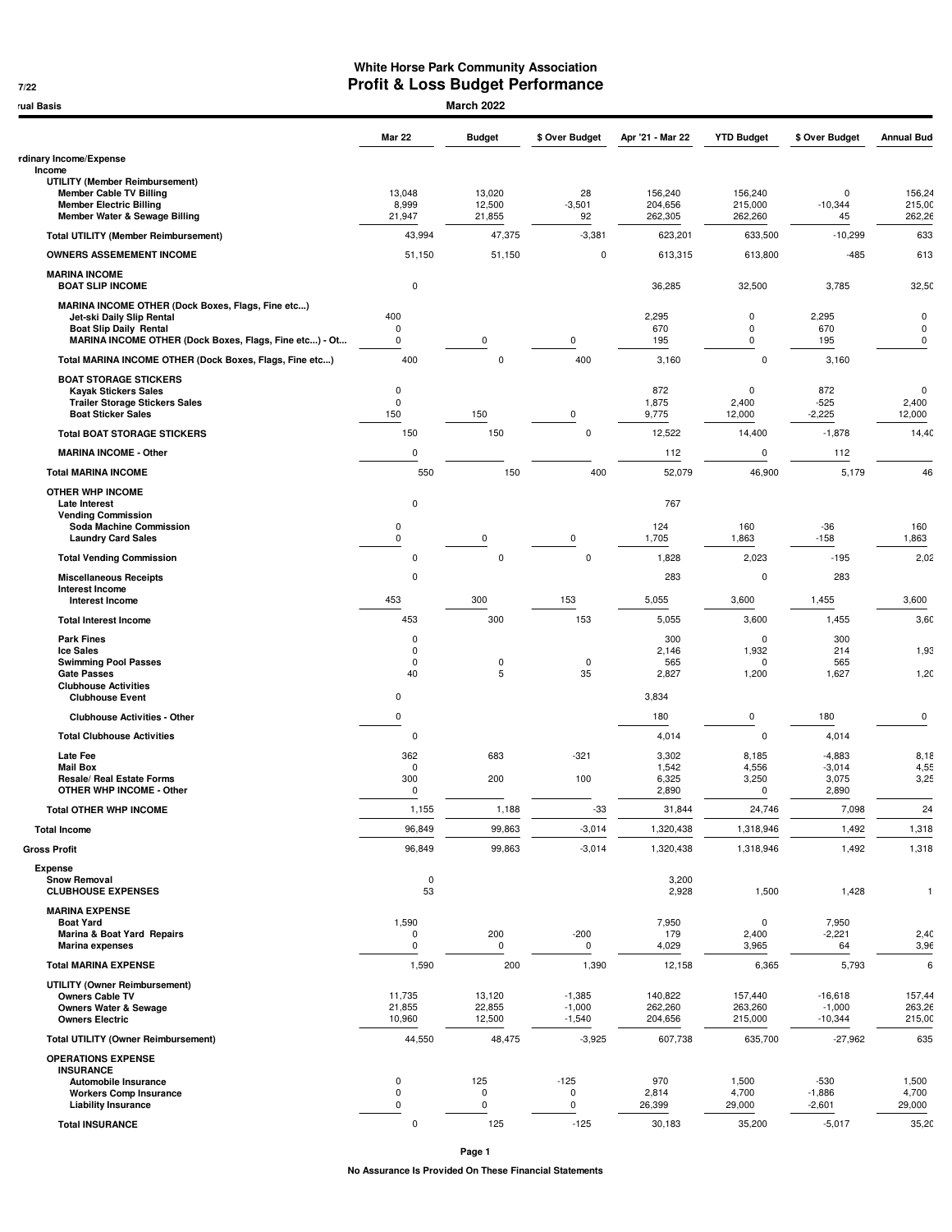## **White Horse Park Community Association 05/27/22 Profit & Loss Budget Performance**

| <b>March 2022</b><br>rual Basis                                      |                            |                  |                |                    |                        |                   |                            |  |  |  |
|----------------------------------------------------------------------|----------------------------|------------------|----------------|--------------------|------------------------|-------------------|----------------------------|--|--|--|
|                                                                      | <b>Mar 22</b>              | <b>Budget</b>    | \$ Over Budget | Apr '21 - Mar 22   | <b>YTD Budget</b>      | \$ Over Budget    | <b>Annual Bud</b>          |  |  |  |
| rdinary Income/Expense                                               |                            |                  |                |                    |                        |                   |                            |  |  |  |
| Income<br><b>UTILITY (Member Reimbursement)</b>                      |                            |                  |                |                    |                        |                   |                            |  |  |  |
| <b>Member Cable TV Billing</b><br><b>Member Electric Billing</b>     | 13,048<br>8,999            | 13,020<br>12,500 | 28<br>$-3,501$ | 156,240<br>204,656 | 156,240<br>215,000     | 0<br>$-10,344$    | 156,24<br>215,00           |  |  |  |
| Member Water & Sewage Billing                                        | 21,947                     | 21,855           | 92             | 262,305            | 262,260                | 45                | 262,26                     |  |  |  |
| <b>Total UTILITY (Member Reimbursement)</b>                          | 43,994                     | 47,375           | $-3,381$       | 623,201            | 633,500                | $-10,299$         | 633                        |  |  |  |
| <b>OWNERS ASSEMEMENT INCOME</b>                                      | 51,150                     | 51,150           | $\mathbf 0$    | 613,315            | 613,800                | $-485$            | 613                        |  |  |  |
| <b>MARINA INCOME</b><br><b>BOAT SLIP INCOME</b>                      | $\pmb{0}$                  |                  |                | 36,285             | 32,500                 | 3,785             | 32,50                      |  |  |  |
| MARINA INCOME OTHER (Dock Boxes, Flags, Fine etc)                    |                            |                  |                |                    |                        |                   |                            |  |  |  |
| Jet-ski Daily Slip Rental<br><b>Boat Slip Daily Rental</b>           | 400<br>0                   |                  |                | 2,295<br>670       | $\pmb{0}$<br>$\pmb{0}$ | 2,295<br>670      | $\mathbf 0$<br>$\mathbf 0$ |  |  |  |
| MARINA INCOME OTHER (Dock Boxes, Flags, Fine etc) - Ot               | 0                          | 0                | 0              | 195                | $\pmb{0}$              | 195               | $\mathbf 0$                |  |  |  |
| Total MARINA INCOME OTHER (Dock Boxes, Flags, Fine etc)              | 400                        | $\mathbf 0$      | 400            | 3,160              | 0                      | 3,160             |                            |  |  |  |
| <b>BOAT STORAGE STICKERS</b>                                         |                            |                  |                |                    |                        |                   | $\mathbf 0$                |  |  |  |
| <b>Kayak Stickers Sales</b><br><b>Trailer Storage Stickers Sales</b> | $\mathbf 0$<br>$\mathbf 0$ |                  |                | 872<br>1,875       | $\mathbf 0$<br>2,400   | 872<br>$-525$     | 2,400                      |  |  |  |
| <b>Boat Sticker Sales</b>                                            | 150                        | 150              | 0              | 9,775              | 12,000                 | $-2,225$          | 12,000                     |  |  |  |
| <b>Total BOAT STORAGE STICKERS</b>                                   | 150                        | 150              | $\mathbf 0$    | 12,522             | 14,400                 | $-1,878$          | 14,40                      |  |  |  |
| <b>MARINA INCOME - Other</b>                                         | $\pmb{0}$                  |                  |                | 112                | $\mathbf 0$            | 112               |                            |  |  |  |
| <b>Total MARINA INCOME</b>                                           | 550                        | 150              | 400            | 52,079             | 46,900                 | 5,179             |                            |  |  |  |
| <b>OTHER WHP INCOME</b><br><b>Late Interest</b>                      | $\pmb{0}$                  |                  |                | 767                |                        |                   |                            |  |  |  |
| <b>Vending Commission</b><br>Soda Machine Commission                 | 0                          |                  |                | 124                | 160                    | $-36$             | 160                        |  |  |  |
| <b>Laundry Card Sales</b>                                            | 0                          | 0                | 0              | 1,705              | 1,863                  | $-158$            | 1,863                      |  |  |  |
| <b>Total Vending Commission</b>                                      | $\pmb{0}$                  | $\mathbf 0$      | $\mathsf 0$    | 1,828              | 2,023                  | $-195$            | 2,02                       |  |  |  |
| <b>Miscellaneous Receipts</b>                                        | $\pmb{0}$                  |                  |                | 283                | 0                      | 283               |                            |  |  |  |
| <b>Interest Income</b><br><b>Interest Income</b>                     | 453                        | 300              | 153            | 5,055              | 3,600                  | 1,455             | 3,600                      |  |  |  |
| <b>Total Interest Income</b>                                         | 453                        | 300              | 153            | 5,055              | 3,600                  | 1,455             | 3,60                       |  |  |  |
| <b>Park Fines</b>                                                    | $\pmb{0}$                  |                  |                | 300                | $\mathbf 0$            | 300               |                            |  |  |  |
| <b>Ice Sales</b>                                                     | $\pmb{0}$<br>$\pmb{0}$     | $\pmb{0}$        | $\mathbf 0$    | 2,146<br>565       | 1,932<br>$\mathbf 0$   | 214<br>565        | 1,93                       |  |  |  |
| <b>Swimming Pool Passes</b><br><b>Gate Passes</b>                    | 40                         | 5                | 35             | 2,827              | 1,200                  | 1,627             | 1,20                       |  |  |  |
| <b>Clubhouse Activities</b><br><b>Clubhouse Event</b>                | 0                          |                  |                | 3,834              |                        |                   |                            |  |  |  |
| <b>Clubhouse Activities - Other</b>                                  | 0                          |                  |                | 180                | 0                      | 180               |                            |  |  |  |
| <b>Total Clubhouse Activities</b>                                    | $\pmb{0}$                  |                  |                | 4,014              | $\mathbf 0$            | 4,014             |                            |  |  |  |
| <b>Late Fee</b>                                                      | 362                        | 683              | $-321$         | 3,302              | 8,185                  | $-4,883$          | 8,18                       |  |  |  |
| <b>Mail Box</b>                                                      | $\pmb{0}$                  |                  |                | 1,542              | 4,556                  | $-3,014$          | 4,55                       |  |  |  |
| Resale/ Real Estate Forms<br>OTHER WHP INCOME - Other                | 300<br>$\pmb{0}$           | 200              | 100            | 6,325<br>2,890     | 3,250<br>$\Omega$      | 3,075<br>2,890    | 3,25                       |  |  |  |
| <b>Total OTHER WHP INCOME</b>                                        | 1,155                      | 1,188            | $-33$          | 31,844             | 24,746                 | 7,098             |                            |  |  |  |
| <b>Total Income</b>                                                  | 96,849                     | 99,863           | $-3,014$       | 1,320,438          | 1,318,946              | 1,492             | 1,318                      |  |  |  |
| <b>Gross Profit</b>                                                  | 96,849                     | 99,863           | $-3,014$       | 1,320,438          | 1,318,946              | 1,492             | 1,318                      |  |  |  |
| <b>Expense</b>                                                       |                            |                  |                |                    |                        |                   |                            |  |  |  |
| <b>Snow Removal</b><br><b>CLUBHOUSE EXPENSES</b>                     | $\mathbf 0$<br>53          |                  |                | 3,200<br>2,928     | 1,500                  | 1,428             |                            |  |  |  |
| <b>MARINA EXPENSE</b>                                                |                            |                  |                |                    |                        |                   |                            |  |  |  |
| <b>Boat Yard</b><br><b>Marina &amp; Boat Yard Repairs</b>            | 1,590<br>0                 | 200              | $-200$         | 7,950<br>179       | 0<br>2,400             | 7,950<br>$-2,221$ | 2,40                       |  |  |  |
| <b>Marina expenses</b>                                               | 0                          | 0                | $\mathbf 0$    | 4,029              | 3,965                  | 64                | 3,96                       |  |  |  |
| <b>Total MARINA EXPENSE</b>                                          | 1,590                      | 200              | 1,390          | 12,158             | 6,365                  | 5,793             |                            |  |  |  |
| <b>UTILITY (Owner Reimbursement)</b><br><b>Owners Cable TV</b>       | 11,735                     | 13,120           | $-1,385$       | 140,822            | 157,440                | $-16,618$         | 157,44                     |  |  |  |
| <b>Owners Water &amp; Sewage</b>                                     | 21,855                     | 22,855           | $-1,000$       | 262,260            | 263,260                | $-1,000$          | 263,26                     |  |  |  |
| <b>Owners Electric</b>                                               | 10,960                     | 12,500           | $-1,540$       | 204,656            | 215,000                | $-10,344$         | 215,00                     |  |  |  |
| <b>Total UTILITY (Owner Reimbursement)</b>                           | 44,550                     | 48,475           | $-3,925$       | 607,738            | 635,700                | $-27,962$         | 635                        |  |  |  |
| <b>OPERATIONS EXPENSE</b><br><b>INSURANCE</b>                        |                            |                  |                |                    |                        |                   |                            |  |  |  |
| Automobile Insurance                                                 | 0                          | 125              | $-125$         | 970                | 1,500                  | $-530$            | 1,500                      |  |  |  |
| <b>Workers Comp Insurance</b>                                        | $\mathbf 0$                | 0                | 0              | 2,814              | 4,700                  | $-1,886$          | 4,700                      |  |  |  |
| <b>Liability Insurance</b>                                           | 0                          | 0                | 0              | 26,399             | 29,000                 | $-2,601$          | 29,000                     |  |  |  |

**No Assurance Is Provided On These Financial Statements Page 1**